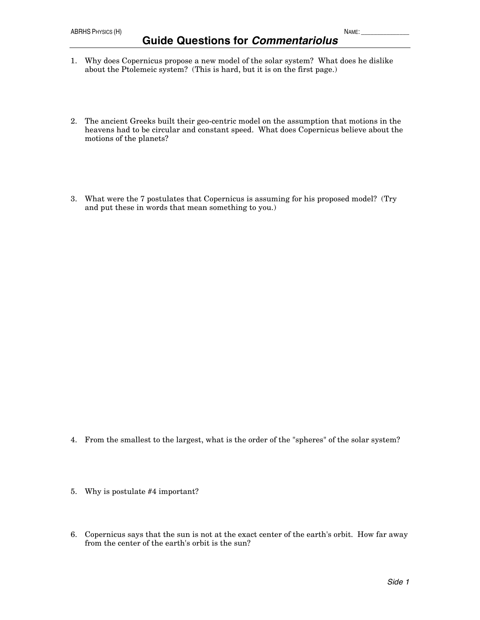- 1. Why does Copernicus propose a new model of the solar system? What does he dislike about the Ptolemeic system? (This is hard, but it is on the first page.)
- 2. The ancient Greeks built their geo-centric model on the assumption that motions in the heavens had to be circular and constant speed. What does Copernicus believe about the motions of the planets?
- 3. What were the 7 postulates that Copernicus is assuming for his proposed model? (Try and put these in words that mean something to you.)

- 4. From the smallest to the largest, what is the order of the "spheres" of the solar system?
- 5. Why is postulate #4 important?
- 6. Copernicus says that the sun is not at the exact center of the earth's orbit. How far away from the center of the earth's orbit is the sun?